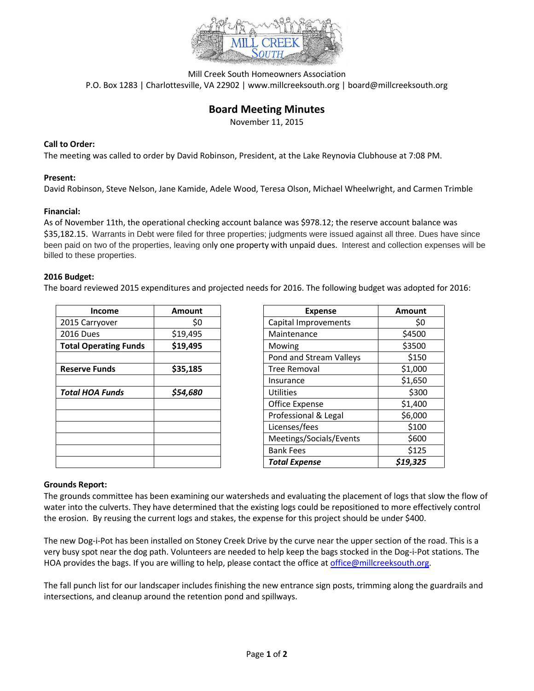

Mill Creek South Homeowners Association P.O. Box 1283 | Charlottesville, VA 22902 | www.millcreeksouth.org | board@millcreeksouth.org

# **Board Meeting Minutes**

November 11, 2015

### **Call to Order:**

The meeting was called to order by David Robinson, President, at the Lake Reynovia Clubhouse at 7:08 PM.

### **Present:**

David Robinson, Steve Nelson, Jane Kamide, Adele Wood, Teresa Olson, Michael Wheelwright, and Carmen Trimble

### **Financial:**

As of November 11th, the operational checking account balance was \$978.12; the reserve account balance was \$35,182.15. Warrants in Debt were filed for three properties; judgments were issued against all three. Dues have since been paid on two of the properties, leaving only one property with unpaid dues. Interest and collection expenses will be billed to these properties.

### **2016 Budget:**

The board reviewed 2015 expenditures and projected needs for 2016. The following budget was adopted for 2016:

| <b>Income</b>                | Amount   | <b>Expense</b>          | <b>Amount</b> |
|------------------------------|----------|-------------------------|---------------|
| 2015 Carryover               | \$0      | Capital Improvements    | \$0           |
| <b>2016 Dues</b>             | \$19,495 | Maintenance             | \$4500        |
| <b>Total Operating Funds</b> | \$19,495 | Mowing                  | \$3500        |
|                              |          | Pond and Stream Valleys | \$150         |
| <b>Reserve Funds</b>         | \$35,185 | <b>Tree Removal</b>     | \$1,000       |
|                              |          | Insurance               | \$1,650       |
| <b>Total HOA Funds</b>       | \$54,680 | <b>Utilities</b>        | \$300         |
|                              |          | Office Expense          | \$1,400       |
|                              |          | Professional & Legal    | \$6,000       |
|                              |          | Licenses/fees           | \$100         |
|                              |          | Meetings/Socials/Events | \$600         |
|                              |          | <b>Bank Fees</b>        | \$125         |
|                              |          | <b>Total Expense</b>    | \$19.325      |

| <b>Income</b>         | <b>Amount</b> | <b>Expense</b>          | Amount   |
|-----------------------|---------------|-------------------------|----------|
| rryover               | \$0           | Capital Improvements    | \$0      |
| es                    | \$19,495      | Maintenance             | \$4500   |
| <b>Derating Funds</b> | \$19,495      | Mowing                  | \$3500   |
|                       |               | Pond and Stream Valleys | \$150    |
| <b>Funds</b>          | \$35,185      | <b>Tree Removal</b>     | \$1,000  |
|                       |               | Insurance               | \$1,650  |
| <b>DA Funds</b>       | \$54,680      | <b>Utilities</b>        | \$300    |
|                       |               | Office Expense          | \$1,400  |
|                       |               | Professional & Legal    | \$6,000  |
|                       |               | Licenses/fees           | \$100    |
|                       |               | Meetings/Socials/Events | \$600    |
|                       |               | <b>Bank Fees</b>        | \$125    |
|                       |               | <b>Total Expense</b>    | \$19,325 |

# **Grounds Report:**

The grounds committee has been examining our watersheds and evaluating the placement of logs that slow the flow of water into the culverts. They have determined that the existing logs could be repositioned to more effectively control the erosion. By reusing the current logs and stakes, the expense for this project should be under \$400.

The new Dog-i-Pot has been installed on Stoney Creek Drive by the curve near the upper section of the road. This is a very busy spot near the dog path. Volunteers are needed to help keep the bags stocked in the Dog-i-Pot stations. The HOA provides the bags. If you are willing to help, please contact the office a[t office@millcreeksouth.org.](mailto:office@millcreeksouth.org)

The fall punch list for our landscaper includes finishing the new entrance sign posts, trimming along the guardrails and intersections, and cleanup around the retention pond and spillways.